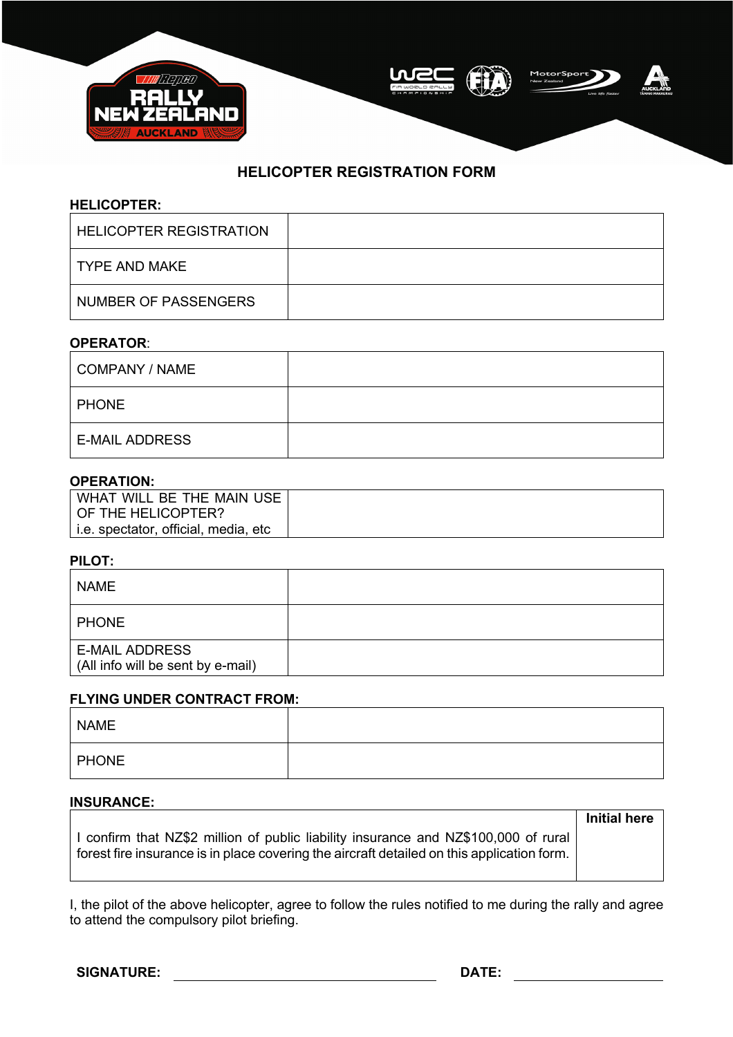

# **HELICOPTER REGISTRATION FORM**

## **HELICOPTER:**

| LHELICOPTER REGISTRATION |  |
|--------------------------|--|
| I TYPE AND MAKE          |  |
| NUMBER OF PASSENGERS     |  |

## **OPERATOR**:

| COMPANY / NAME        |  |
|-----------------------|--|
| <b>PHONE</b>          |  |
| <b>E-MAIL ADDRESS</b> |  |

## **OPERATION:**

| WHAT WILL BE THE MAIN USE '          |  |
|--------------------------------------|--|
| OF THE HELICOPTER?                   |  |
| i.e. spectator, official, media, etc |  |

#### **PILOT:**

| <b>NAME</b>                                                |  |
|------------------------------------------------------------|--|
| <b>PHONE</b>                                               |  |
| <b>E-MAIL ADDRESS</b><br>(All info will be sent by e-mail) |  |

#### **FLYING UNDER CONTRACT FROM:**

| <b>NAME</b>  |  |
|--------------|--|
| <b>PHONE</b> |  |

# **INSURANCE:**

I confirm that NZ\$2 million of public liability insurance and NZ\$100,000 of rural forest fire insurance is in place covering the aircraft detailed on this application form. **Initial here**

I, the pilot of the above helicopter, agree to follow the rules notified to me during the rally and agree to attend the compulsory pilot briefing.

**SIGNATURE: DATE:**